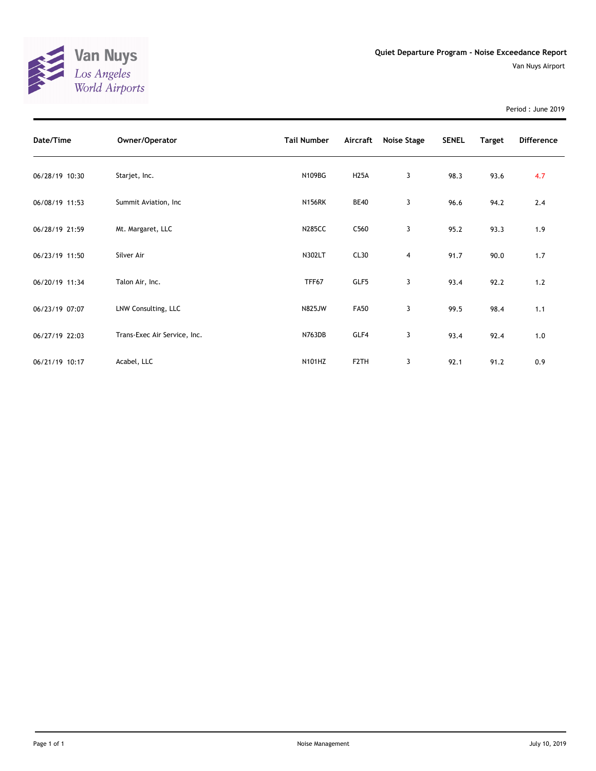

Period : June 2019

| Date/Time      | Owner/Operator               | <b>Tail Number</b> | Aircraft          | Noise Stage | <b>SENEL</b> | Target | <b>Difference</b> |
|----------------|------------------------------|--------------------|-------------------|-------------|--------------|--------|-------------------|
| 06/28/19 10:30 | Starjet, Inc.                | N109BG             | <b>H25A</b>       | 3           | 98.3         | 93.6   | 4.7               |
| 06/08/19 11:53 | Summit Aviation, Inc         | <b>N156RK</b>      | <b>BE40</b>       | 3           | 96.6         | 94.2   | 2.4               |
| 06/28/19 21:59 | Mt. Margaret, LLC            | <b>N285CC</b>      | C560              | 3           | 95.2         | 93.3   | 1.9               |
| 06/23/19 11:50 | Silver Air                   | N302LT             | CL30              | 4           | 91.7         | 90.0   | 1.7               |
| 06/20/19 11:34 | Talon Air, Inc.              | TFF67              | GLF5              | 3           | 93.4         | 92.2   | 1.2               |
| 06/23/19 07:07 | LNW Consulting, LLC          | <b>N825JW</b>      | <b>FA50</b>       | 3           | 99.5         | 98.4   | 1.1               |
| 06/27/19 22:03 | Trans-Exec Air Service, Inc. | N763DB             | GLF4              | 3           | 93.4         | 92.4   | 1.0               |
| 06/21/19 10:17 | Acabel, LLC                  | N101HZ             | F <sub>2</sub> TH | 3           | 92.1         | 91.2   | 0.9               |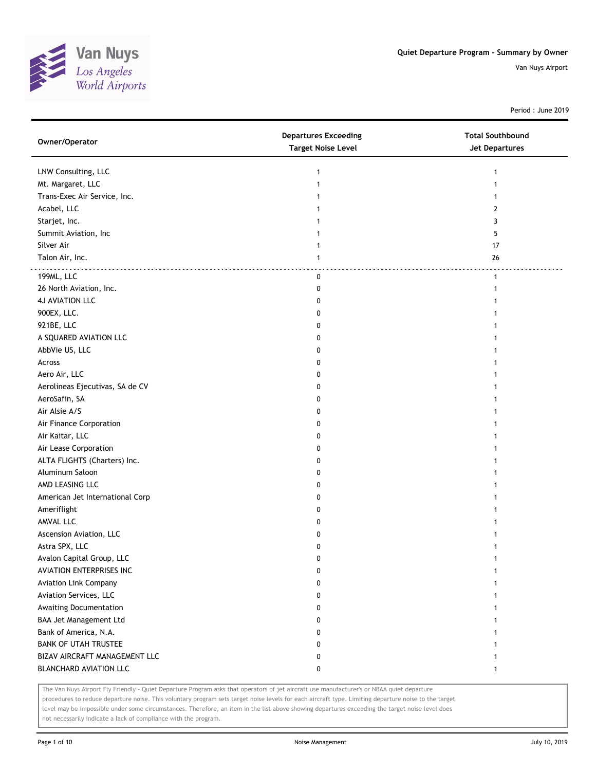

Period : June 2019

| Owner/Operator                  | <b>Departures Exceeding</b><br><b>Target Noise Level</b> | <b>Total Southbound</b><br><b>Jet Departures</b> |
|---------------------------------|----------------------------------------------------------|--------------------------------------------------|
| LNW Consulting, LLC             | 1                                                        |                                                  |
| Mt. Margaret, LLC               |                                                          |                                                  |
| Trans-Exec Air Service, Inc.    |                                                          |                                                  |
| Acabel, LLC                     |                                                          | 2                                                |
| Starjet, Inc.                   |                                                          | 3                                                |
| Summit Aviation, Inc            |                                                          | 5                                                |
| Silver Air                      |                                                          | 17                                               |
| Talon Air, Inc.                 | 1                                                        | 26                                               |
| 199ML, LLC                      | 0                                                        | $\mathbf{1}$                                     |
| 26 North Aviation, Inc.         | 0                                                        |                                                  |
| <b>4J AVIATION LLC</b>          | 0                                                        |                                                  |
| 900EX, LLC.                     | 0                                                        |                                                  |
| 921BE, LLC                      | 0                                                        |                                                  |
| A SQUARED AVIATION LLC          | 0                                                        |                                                  |
| AbbVie US, LLC                  | 0                                                        |                                                  |
| Across                          | 0                                                        |                                                  |
| Aero Air, LLC                   | 0                                                        |                                                  |
| Aerolineas Ejecutivas, SA de CV | 0                                                        |                                                  |
| AeroSafin, SA                   | 0                                                        |                                                  |
| Air Alsie A/S                   | 0                                                        |                                                  |
| Air Finance Corporation         | 0                                                        |                                                  |
| Air Kaitar, LLC                 | 0                                                        |                                                  |
| Air Lease Corporation           | 0                                                        |                                                  |
| ALTA FLIGHTS (Charters) Inc.    | 0                                                        |                                                  |
| Aluminum Saloon                 | 0                                                        |                                                  |
| AMD LEASING LLC                 | 0                                                        |                                                  |
| American Jet International Corp | 0                                                        |                                                  |
| Ameriflight                     | 0                                                        |                                                  |
| AMVAL LLC                       | 0                                                        |                                                  |
| Ascension Aviation, LLC         | 0                                                        |                                                  |
| Astra SPX, LLC                  | 0                                                        |                                                  |
| Avalon Capital Group, LLC       | 0                                                        |                                                  |
| AVIATION ENTERPRISES INC        | 0                                                        | 1                                                |
| <b>Aviation Link Company</b>    | 0                                                        |                                                  |
| Aviation Services, LLC          | 0                                                        |                                                  |
| Awaiting Documentation          | 0                                                        | 1                                                |
| BAA Jet Management Ltd          | 0                                                        | 1                                                |
| Bank of America, N.A.           | 0                                                        |                                                  |
| <b>BANK OF UTAH TRUSTEE</b>     | 0                                                        |                                                  |
| BIZAV AIRCRAFT MANAGEMENT LLC   | 0                                                        |                                                  |
| BLANCHARD AVIATION LLC          | 0                                                        | 1                                                |

The Van Nuys Airport Fly Friendly - Quiet Departure Program asks that operators of jet aircraft use manufacturer's or NBAA quiet departure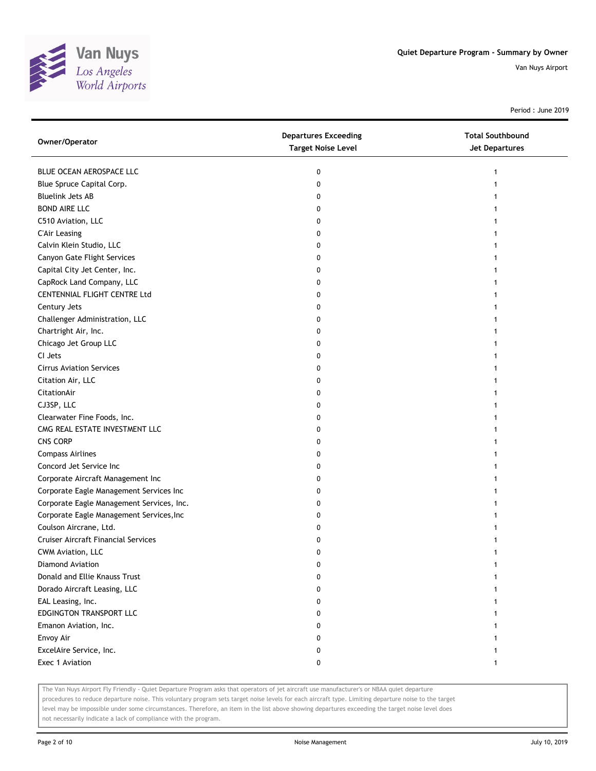

Period : June 2019

| BLUE OCEAN AEROSPACE LLC<br>0<br>Blue Spruce Capital Corp.<br>0<br><b>Bluelink Jets AB</b><br>0<br><b>BOND AIRE LLC</b><br>0<br>C510 Aviation, LLC<br>0<br><b>C'Air Leasing</b><br>0 | Owner/Operator | <b>Departures Exceeding</b><br><b>Target Noise Level</b> | <b>Total Southbound</b><br><b>Jet Departures</b> |
|--------------------------------------------------------------------------------------------------------------------------------------------------------------------------------------|----------------|----------------------------------------------------------|--------------------------------------------------|
|                                                                                                                                                                                      |                |                                                          |                                                  |
|                                                                                                                                                                                      |                |                                                          |                                                  |
|                                                                                                                                                                                      |                |                                                          |                                                  |
|                                                                                                                                                                                      |                |                                                          |                                                  |
|                                                                                                                                                                                      |                |                                                          |                                                  |
|                                                                                                                                                                                      |                |                                                          |                                                  |
| Calvin Klein Studio, LLC<br>0                                                                                                                                                        |                |                                                          |                                                  |
| Canyon Gate Flight Services<br>0                                                                                                                                                     |                |                                                          |                                                  |
| Capital City Jet Center, Inc.<br>0                                                                                                                                                   |                |                                                          |                                                  |
| CapRock Land Company, LLC<br>0                                                                                                                                                       |                |                                                          |                                                  |
| CENTENNIAL FLIGHT CENTRE Ltd<br>0                                                                                                                                                    |                |                                                          |                                                  |
| Century Jets<br>0                                                                                                                                                                    |                |                                                          |                                                  |
| Challenger Administration, LLC<br>0                                                                                                                                                  |                |                                                          |                                                  |
| Chartright Air, Inc.<br>0                                                                                                                                                            |                |                                                          |                                                  |
| Chicago Jet Group LLC<br>0                                                                                                                                                           |                |                                                          |                                                  |
| CI Jets<br>0                                                                                                                                                                         |                |                                                          |                                                  |
| <b>Cirrus Aviation Services</b><br>0                                                                                                                                                 |                |                                                          |                                                  |
| Citation Air, LLC<br>0                                                                                                                                                               |                |                                                          |                                                  |
| CitationAir<br>0                                                                                                                                                                     |                |                                                          |                                                  |
| CJ3SP, LLC<br>0                                                                                                                                                                      |                |                                                          |                                                  |
| Clearwater Fine Foods, Inc.<br>0                                                                                                                                                     |                |                                                          |                                                  |
| CMG REAL ESTATE INVESTMENT LLC<br>0                                                                                                                                                  |                |                                                          |                                                  |
| <b>CNS CORP</b><br>0                                                                                                                                                                 |                |                                                          |                                                  |
| <b>Compass Airlines</b><br>0                                                                                                                                                         |                |                                                          |                                                  |
| Concord Jet Service Inc<br>0                                                                                                                                                         |                |                                                          |                                                  |
| Corporate Aircraft Management Inc<br>0                                                                                                                                               |                |                                                          |                                                  |
| Corporate Eagle Management Services Inc<br>0                                                                                                                                         |                |                                                          |                                                  |
| Corporate Eagle Management Services, Inc.<br>0                                                                                                                                       |                |                                                          |                                                  |
| Corporate Eagle Management Services, Inc<br>0                                                                                                                                        |                |                                                          |                                                  |
| Coulson Aircrane, Ltd.<br>0                                                                                                                                                          |                |                                                          |                                                  |
| <b>Cruiser Aircraft Financial Services</b><br>0                                                                                                                                      |                |                                                          |                                                  |
| CWM Aviation, LLC<br>0                                                                                                                                                               |                |                                                          |                                                  |
| Diamond Aviation<br>0                                                                                                                                                                |                |                                                          |                                                  |
| Donald and Ellie Knauss Trust<br>0                                                                                                                                                   |                |                                                          |                                                  |
| Dorado Aircraft Leasing, LLC<br>0                                                                                                                                                    |                |                                                          |                                                  |
| EAL Leasing, Inc.<br>0                                                                                                                                                               |                |                                                          |                                                  |
| EDGINGTON TRANSPORT LLC<br>0                                                                                                                                                         |                |                                                          |                                                  |
| Emanon Aviation, Inc.<br>0                                                                                                                                                           |                |                                                          |                                                  |
| Envoy Air<br>0                                                                                                                                                                       |                |                                                          |                                                  |
| ExcelAire Service, Inc.<br>0                                                                                                                                                         |                |                                                          |                                                  |
| Exec 1 Aviation<br>0                                                                                                                                                                 |                |                                                          |                                                  |

The Van Nuys Airport Fly Friendly - Quiet Departure Program asks that operators of jet aircraft use manufacturer's or NBAA quiet departure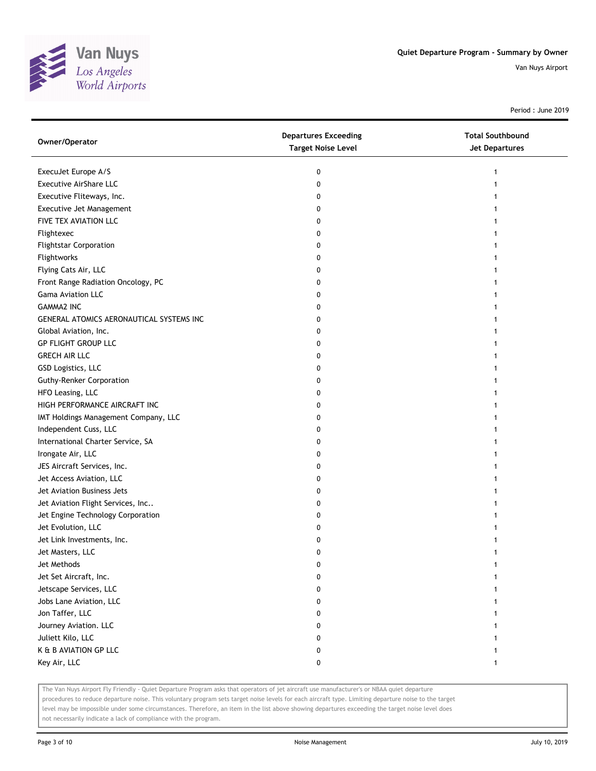

Period : June 2019

| Owner/Operator                           | <b>Departures Exceeding</b><br><b>Target Noise Level</b> | <b>Total Southbound</b><br>Jet Departures |
|------------------------------------------|----------------------------------------------------------|-------------------------------------------|
| ExecuJet Europe A/S                      | 0                                                        | 1                                         |
| <b>Executive AirShare LLC</b>            | 0                                                        |                                           |
| Executive Fliteways, Inc.                | 0                                                        |                                           |
| Executive Jet Management                 | 0                                                        |                                           |
| FIVE TEX AVIATION LLC                    | 0                                                        |                                           |
| Flightexec                               | 0                                                        |                                           |
| <b>Flightstar Corporation</b>            | 0                                                        |                                           |
| Flightworks                              | 0                                                        |                                           |
| Flying Cats Air, LLC                     | 0                                                        |                                           |
| Front Range Radiation Oncology, PC       | 0                                                        |                                           |
| Gama Aviation LLC                        | 0                                                        |                                           |
| <b>GAMMA2 INC</b>                        | 0                                                        |                                           |
| GENERAL ATOMICS AERONAUTICAL SYSTEMS INC | 0                                                        |                                           |
| Global Aviation, Inc.                    | 0                                                        |                                           |
| <b>GP FLIGHT GROUP LLC</b>               | 0                                                        |                                           |
| <b>GRECH AIR LLC</b>                     | 0                                                        | 1                                         |
| GSD Logistics, LLC                       | 0                                                        |                                           |
| <b>Guthy-Renker Corporation</b>          | 0                                                        |                                           |
| HFO Leasing, LLC                         | 0                                                        |                                           |
| HIGH PERFORMANCE AIRCRAFT INC            | 0                                                        |                                           |
| IMT Holdings Management Company, LLC     | 0                                                        |                                           |
| Independent Cuss, LLC                    | 0                                                        |                                           |
| International Charter Service, SA        | 0                                                        |                                           |
| Irongate Air, LLC                        | 0                                                        |                                           |
| JES Aircraft Services, Inc.              | 0                                                        |                                           |
| Jet Access Aviation, LLC                 | 0                                                        | 1                                         |
| Jet Aviation Business Jets               | 0                                                        |                                           |
| Jet Aviation Flight Services, Inc        | 0                                                        |                                           |
| Jet Engine Technology Corporation        | 0                                                        |                                           |
| Jet Evolution, LLC                       | 0                                                        |                                           |
| Jet Link Investments, Inc.               | 0                                                        |                                           |
| Jet Masters, LLC                         | 0                                                        |                                           |
| Jet Methods                              | 0                                                        |                                           |
| Jet Set Aircraft, Inc.                   | 0                                                        |                                           |
| Jetscape Services, LLC                   | 0                                                        |                                           |
| Jobs Lane Aviation, LLC                  | 0                                                        |                                           |
| Jon Taffer, LLC                          | 0                                                        |                                           |
| Journey Aviation. LLC                    | 0                                                        |                                           |
| Juliett Kilo, LLC                        | 0                                                        |                                           |
| K & B AVIATION GP LLC                    | 0                                                        |                                           |
| Key Air, LLC                             | 0                                                        | 1                                         |

The Van Nuys Airport Fly Friendly - Quiet Departure Program asks that operators of jet aircraft use manufacturer's or NBAA quiet departure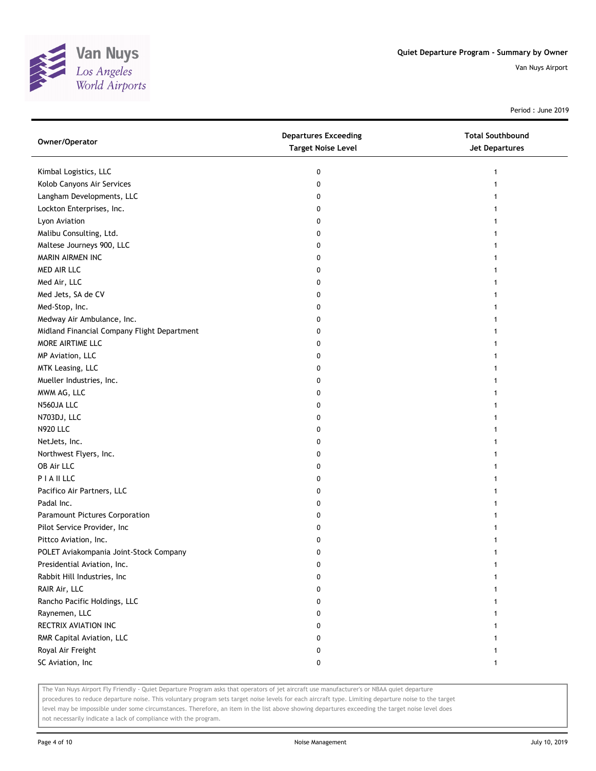

Period : June 2019

| Owner/Operator                              | <b>Departures Exceeding</b><br><b>Target Noise Level</b> | <b>Total Southbound</b><br><b>Jet Departures</b> |
|---------------------------------------------|----------------------------------------------------------|--------------------------------------------------|
| Kimbal Logistics, LLC                       | 0                                                        | 1                                                |
| Kolob Canyons Air Services                  | 0                                                        |                                                  |
| Langham Developments, LLC                   | 0                                                        |                                                  |
| Lockton Enterprises, Inc.                   | 0                                                        |                                                  |
| Lyon Aviation                               | 0                                                        |                                                  |
| Malibu Consulting, Ltd.                     | 0                                                        |                                                  |
| Maltese Journeys 900, LLC                   | 0                                                        |                                                  |
| MARIN AIRMEN INC                            | 0                                                        |                                                  |
| MED AIR LLC                                 | 0                                                        |                                                  |
| Med Air, LLC                                | 0                                                        |                                                  |
| Med Jets, SA de CV                          | 0                                                        |                                                  |
| Med-Stop, Inc.                              | 0                                                        |                                                  |
| Medway Air Ambulance, Inc.                  | 0                                                        |                                                  |
| Midland Financial Company Flight Department | 0                                                        |                                                  |
| MORE AIRTIME LLC                            | 0                                                        |                                                  |
| MP Aviation, LLC                            | 0                                                        |                                                  |
| MTK Leasing, LLC                            | 0                                                        |                                                  |
| Mueller Industries, Inc.                    | 0                                                        |                                                  |
| MWM AG, LLC                                 | 0                                                        |                                                  |
| N560JA LLC                                  | 0                                                        |                                                  |
| N703DJ, LLC                                 | 0                                                        |                                                  |
| <b>N920 LLC</b>                             | 0                                                        |                                                  |
| NetJets, Inc.                               | 0                                                        |                                                  |
| Northwest Flyers, Inc.                      | 0                                                        |                                                  |
| OB Air LLC                                  | 0                                                        | 1                                                |
| PIAILLC                                     | 0                                                        |                                                  |
| Pacifico Air Partners, LLC                  | 0                                                        |                                                  |
| Padal Inc.                                  | 0                                                        |                                                  |
| Paramount Pictures Corporation              | 0                                                        |                                                  |
| Pilot Service Provider, Inc                 | 0                                                        |                                                  |
| Pittco Aviation, Inc.                       | 0                                                        |                                                  |
| POLET Aviakompania Joint-Stock Company      | 0                                                        |                                                  |
| Presidential Aviation, Inc.                 | 0                                                        |                                                  |
| Rabbit Hill Industries, Inc                 | 0                                                        |                                                  |
| RAIR Air, LLC                               | 0                                                        |                                                  |
| Rancho Pacific Holdings, LLC                | 0                                                        |                                                  |
| Raynemen, LLC                               | 0                                                        |                                                  |
| RECTRIX AVIATION INC                        | 0                                                        |                                                  |
| RMR Capital Aviation, LLC                   | 0                                                        |                                                  |
| Royal Air Freight                           | 0                                                        |                                                  |
| SC Aviation, Inc                            | 0                                                        | 1                                                |

The Van Nuys Airport Fly Friendly - Quiet Departure Program asks that operators of jet aircraft use manufacturer's or NBAA quiet departure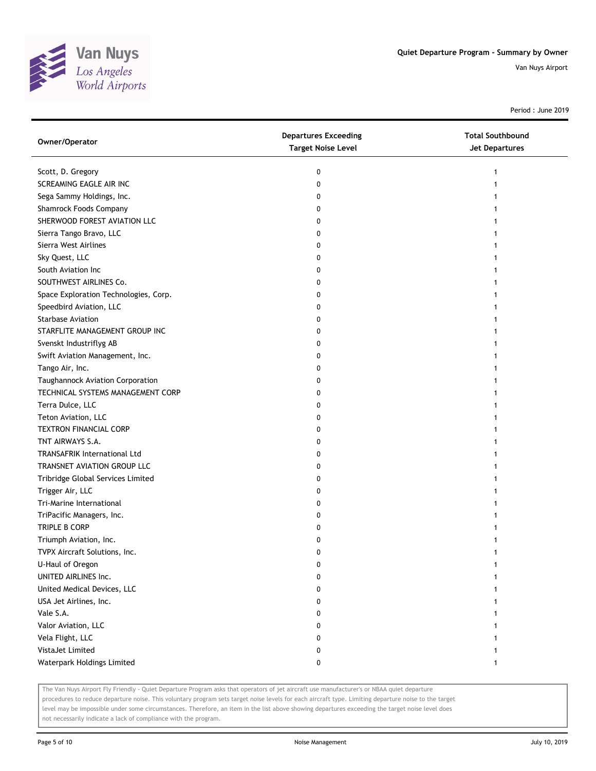

Period : June 2019

| Owner/Operator                        | <b>Departures Exceeding</b><br><b>Target Noise Level</b> | <b>Total Southbound</b><br><b>Jet Departures</b> |
|---------------------------------------|----------------------------------------------------------|--------------------------------------------------|
| Scott, D. Gregory                     | 0                                                        |                                                  |
| SCREAMING EAGLE AIR INC               | 0                                                        |                                                  |
| Sega Sammy Holdings, Inc.             | 0                                                        |                                                  |
| Shamrock Foods Company                | 0                                                        |                                                  |
| SHERWOOD FOREST AVIATION LLC          | 0                                                        |                                                  |
| Sierra Tango Bravo, LLC               | 0                                                        |                                                  |
| Sierra West Airlines                  | 0                                                        |                                                  |
| Sky Quest, LLC                        | 0                                                        |                                                  |
| South Aviation Inc                    | 0                                                        |                                                  |
| SOUTHWEST AIRLINES Co.                | 0                                                        |                                                  |
| Space Exploration Technologies, Corp. | 0                                                        |                                                  |
| Speedbird Aviation, LLC               | 0                                                        |                                                  |
| <b>Starbase Aviation</b>              | 0                                                        |                                                  |
| STARFLITE MANAGEMENT GROUP INC        | 0                                                        |                                                  |
| Svenskt Industriflyg AB               | 0                                                        |                                                  |
| Swift Aviation Management, Inc.       | 0                                                        |                                                  |
| Tango Air, Inc.                       | 0                                                        |                                                  |
| Taughannock Aviation Corporation      | 0                                                        |                                                  |
| TECHNICAL SYSTEMS MANAGEMENT CORP     | 0                                                        |                                                  |
| Terra Dulce, LLC                      | 0                                                        |                                                  |
| Teton Aviation, LLC                   | 0                                                        |                                                  |
| <b>TEXTRON FINANCIAL CORP</b>         | 0                                                        |                                                  |
| TNT AIRWAYS S.A.                      | 0                                                        |                                                  |
| <b>TRANSAFRIK International Ltd</b>   | 0                                                        |                                                  |
| TRANSNET AVIATION GROUP LLC           | 0                                                        |                                                  |
| Tribridge Global Services Limited     | 0                                                        | 1                                                |
| Trigger Air, LLC                      | 0                                                        |                                                  |
| Tri-Marine International              | 0                                                        |                                                  |
| TriPacific Managers, Inc.             | 0                                                        |                                                  |
| TRIPLE B CORP                         | 0                                                        |                                                  |
| Triumph Aviation, Inc.                | 0                                                        |                                                  |
| TVPX Aircraft Solutions, Inc.         | 0                                                        |                                                  |
| U-Haul of Oregon                      | 0                                                        |                                                  |
| UNITED AIRLINES Inc.                  | 0                                                        |                                                  |
| United Medical Devices, LLC           | 0                                                        |                                                  |
| USA Jet Airlines, Inc.                | 0                                                        |                                                  |
| Vale S.A.                             | 0                                                        |                                                  |
| Valor Aviation, LLC                   | 0                                                        |                                                  |
| Vela Flight, LLC                      | 0                                                        |                                                  |
| VistaJet Limited                      | 0                                                        |                                                  |
| Waterpark Holdings Limited            | 0                                                        | $\mathbf{1}$                                     |

The Van Nuys Airport Fly Friendly - Quiet Departure Program asks that operators of jet aircraft use manufacturer's or NBAA quiet departure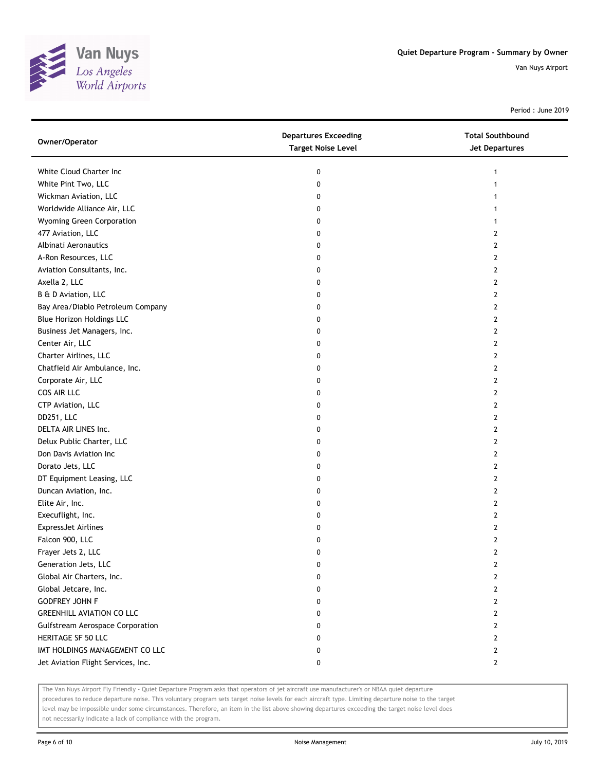

Period : June 2019

| Owner/Operator                          | <b>Departures Exceeding</b><br><b>Target Noise Level</b> | <b>Total Southbound</b><br>Jet Departures |
|-----------------------------------------|----------------------------------------------------------|-------------------------------------------|
| White Cloud Charter Inc                 | 0                                                        | $\mathbf{1}$                              |
| White Pint Two, LLC                     | 0                                                        | 1                                         |
| Wickman Aviation, LLC                   | 0                                                        | 1                                         |
| Worldwide Alliance Air, LLC             | 0                                                        | 1                                         |
| Wyoming Green Corporation               | 0                                                        | 1                                         |
| 477 Aviation, LLC                       | 0                                                        | 2                                         |
| Albinati Aeronautics                    | 0                                                        | 2                                         |
| A-Ron Resources, LLC                    | 0                                                        | 2                                         |
| Aviation Consultants, Inc.              | 0                                                        | $\mathbf{2}$                              |
| Axella 2, LLC                           | 0                                                        | 2                                         |
| B & D Aviation, LLC                     | 0                                                        | 2                                         |
| Bay Area/Diablo Petroleum Company       | 0                                                        | 2                                         |
| <b>Blue Horizon Holdings LLC</b>        | 0                                                        | 2                                         |
| Business Jet Managers, Inc.             | 0                                                        | 2                                         |
| Center Air, LLC                         | 0                                                        | 2                                         |
| Charter Airlines, LLC                   | 0                                                        | 2                                         |
| Chatfield Air Ambulance, Inc.           | 0                                                        | 2                                         |
| Corporate Air, LLC                      | 0                                                        | 2                                         |
| COS AIR LLC                             | 0                                                        | $\overline{2}$                            |
| CTP Aviation, LLC                       | 0                                                        | 2                                         |
| DD251, LLC                              | 0                                                        | 2                                         |
| DELTA AIR LINES Inc.                    | 0                                                        | 2                                         |
| Delux Public Charter, LLC               | 0                                                        | 2                                         |
| Don Davis Aviation Inc                  | 0                                                        | 2                                         |
| Dorato Jets, LLC                        | 0                                                        | 2                                         |
| DT Equipment Leasing, LLC               | 0                                                        | 2                                         |
| Duncan Aviation, Inc.                   | 0                                                        | 2                                         |
| Elite Air, Inc.                         | 0                                                        | 2                                         |
| Execuflight, Inc.                       | 0                                                        | $\overline{2}$                            |
| <b>ExpressJet Airlines</b>              | 0                                                        | 2                                         |
| Falcon 900, LLC                         | 0                                                        | 2                                         |
| Frayer Jets 2, LLC                      | 0                                                        | 2                                         |
| Generation Jets, LLC                    | 0                                                        | 2                                         |
| Global Air Charters, Inc.               | 0                                                        | 2                                         |
| Global Jetcare, Inc.                    | 0                                                        | $\overline{2}$                            |
| <b>GODFREY JOHN F</b>                   | 0                                                        | 2                                         |
| <b>GREENHILL AVIATION CO LLC</b>        | 0                                                        | 2                                         |
| <b>Gulfstream Aerospace Corporation</b> | 0                                                        | 2                                         |
| HERITAGE SF 50 LLC                      | 0                                                        | $\overline{2}$                            |
| IMT HOLDINGS MANAGEMENT CO LLC          | 0                                                        | $\overline{2}$                            |
| Jet Aviation Flight Services, Inc.      | 0                                                        | $\overline{2}$                            |

The Van Nuys Airport Fly Friendly - Quiet Departure Program asks that operators of jet aircraft use manufacturer's or NBAA quiet departure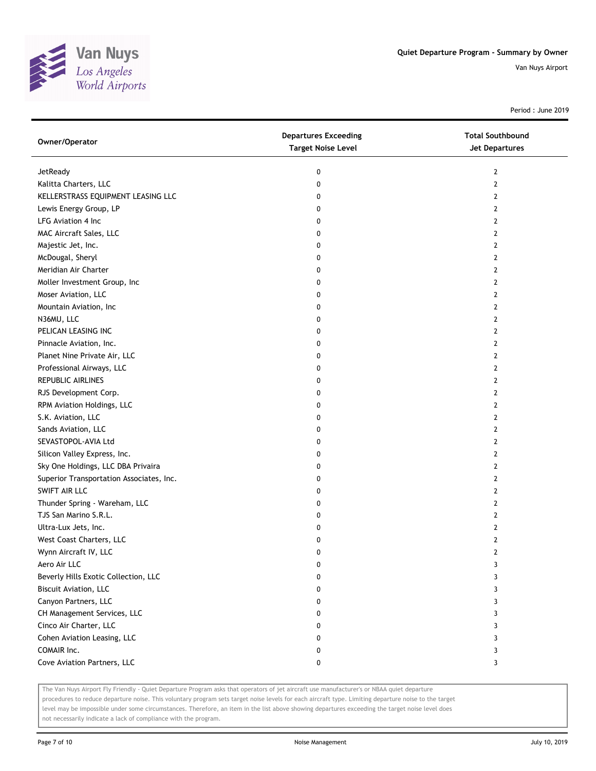

Period : June 2019

| Owner/Operator                           | <b>Departures Exceeding</b><br><b>Target Noise Level</b> | <b>Total Southbound</b><br>Jet Departures |
|------------------------------------------|----------------------------------------------------------|-------------------------------------------|
| JetReady                                 | 0                                                        | 2                                         |
| Kalitta Charters, LLC                    | 0                                                        | 2                                         |
| KELLERSTRASS EQUIPMENT LEASING LLC       | 0                                                        | 2                                         |
| Lewis Energy Group, LP                   | 0                                                        | $\overline{2}$                            |
| LFG Aviation 4 Inc                       | 0                                                        | 2                                         |
| MAC Aircraft Sales, LLC                  | 0                                                        | 2                                         |
| Majestic Jet, Inc.                       | 0                                                        | 2                                         |
| McDougal, Sheryl                         | 0                                                        | 2                                         |
| Meridian Air Charter                     | 0                                                        | $\overline{2}$                            |
| Moller Investment Group, Inc             | 0                                                        | $\overline{2}$                            |
| Moser Aviation, LLC                      | 0                                                        | $\overline{2}$                            |
| Mountain Aviation, Inc                   | 0                                                        | $\overline{2}$                            |
| N36MU, LLC                               | 0                                                        | 2                                         |
| PELICAN LEASING INC                      | 0                                                        | $\mathbf{2}$                              |
| Pinnacle Aviation, Inc.                  | 0                                                        | 2                                         |
| Planet Nine Private Air, LLC             | 0                                                        | 2                                         |
| Professional Airways, LLC                | 0                                                        | 2                                         |
| REPUBLIC AIRLINES                        | 0                                                        | 2                                         |
| RJS Development Corp.                    | 0                                                        | $\overline{2}$                            |
| RPM Aviation Holdings, LLC               | 0                                                        | 2                                         |
| S.K. Aviation, LLC                       | 0                                                        | 2                                         |
| Sands Aviation, LLC                      | 0                                                        | 2                                         |
| SEVASTOPOL-AVIA Ltd                      | 0                                                        | 2                                         |
| Silicon Valley Express, Inc.             | 0                                                        | $\overline{2}$                            |
| Sky One Holdings, LLC DBA Privaira       | 0                                                        | 2                                         |
| Superior Transportation Associates, Inc. | 0                                                        | 2                                         |
| SWIFT AIR LLC                            | 0                                                        | 2                                         |
| Thunder Spring - Wareham, LLC            | 0                                                        | $\overline{2}$                            |
| TJS San Marino S.R.L.                    | 0                                                        | $\overline{2}$                            |
| Ultra-Lux Jets, Inc.                     | 0                                                        | 2                                         |
| West Coast Charters, LLC                 | 0                                                        | 2                                         |
| Wynn Aircraft IV, LLC                    | 0                                                        | $\overline{2}$                            |
| Aero Air LLC                             | 0                                                        | 3                                         |
| Beverly Hills Exotic Collection, LLC     | 0                                                        | 3                                         |
| Biscuit Aviation, LLC                    | 0                                                        | 3                                         |
| Canyon Partners, LLC                     | 0                                                        | 3                                         |
| CH Management Services, LLC              | 0                                                        | 3                                         |
| Cinco Air Charter, LLC                   | 0                                                        | 3                                         |
| Cohen Aviation Leasing, LLC              | 0                                                        | 3                                         |
| COMAIR Inc.                              | 0                                                        | 3                                         |
| Cove Aviation Partners, LLC              | 0                                                        | 3                                         |

The Van Nuys Airport Fly Friendly - Quiet Departure Program asks that operators of jet aircraft use manufacturer's or NBAA quiet departure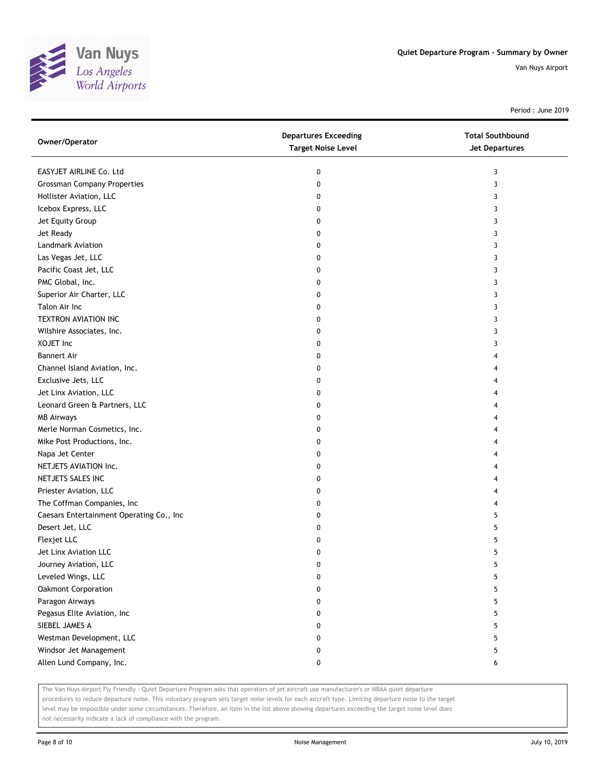

Period : June 2019

| Owner/Operator                           | <b>Departures Exceeding</b><br><b>Target Noise Level</b> | <b>Total Southbound</b><br><b>Jet Departures</b> |
|------------------------------------------|----------------------------------------------------------|--------------------------------------------------|
| EASYJET AIRLINE Co. Ltd                  | 0                                                        | 3                                                |
| <b>Grossman Company Properties</b>       | 0                                                        | 3                                                |
| Hollister Aviation, LLC                  | 0                                                        | 3                                                |
| Icebox Express, LLC                      | 0                                                        | 3                                                |
| Jet Equity Group                         | 0                                                        | 3                                                |
| Jet Ready                                | 0                                                        | 3                                                |
| Landmark Aviation                        | 0                                                        | 3                                                |
| Las Vegas Jet, LLC                       | 0                                                        | 3                                                |
| Pacific Coast Jet, LLC                   | 0                                                        | 3                                                |
| PMC Global, Inc.                         | 0                                                        | 3                                                |
| Superior Air Charter, LLC                | 0                                                        | 3                                                |
| Talon Air Inc                            | 0                                                        | 3                                                |
| <b>TEXTRON AVIATION INC</b>              | 0                                                        | 3                                                |
| Wilshire Associates, Inc.                | 0                                                        | 3                                                |
| XOJET Inc                                | 0                                                        | 3                                                |
| <b>Bannert Air</b>                       | 0                                                        | 4                                                |
| Channel Island Aviation, Inc.            | 0                                                        | 4                                                |
| Exclusive Jets, LLC                      | 0                                                        | 4                                                |
| Jet Linx Aviation, LLC                   | 0                                                        | 4                                                |
| Leonard Green & Partners, LLC            | 0                                                        | 4                                                |
| <b>MB Airways</b>                        | 0                                                        | 4                                                |
| Merle Norman Cosmetics, Inc.             | 0                                                        | 4                                                |
| Mike Post Productions, Inc.              | 0                                                        | 4                                                |
| Napa Jet Center                          | 0                                                        | 4                                                |
| NETJETS AVIATION Inc.                    | 0                                                        | 4                                                |
| NETJETS SALES INC                        | 0                                                        | 4                                                |
| Priester Aviation, LLC                   | 0                                                        | 4                                                |
| The Coffman Companies, Inc               | 0                                                        | 4                                                |
| Caesars Entertainment Operating Co., Inc | 0                                                        | 5                                                |
| Desert Jet, LLC                          | 0                                                        | 5                                                |
| Flexjet LLC                              | 0                                                        | 5                                                |
| Jet Linx Aviation LLC                    | 0                                                        | 5                                                |
| Journey Aviation, LLC                    | 0                                                        | 5                                                |
| Leveled Wings, LLC                       | 0                                                        | 5                                                |
| Oakmont Corporation                      | 0                                                        | 5                                                |
| Paragon Airways                          | 0                                                        | 5                                                |
| Pegasus Elite Aviation, Inc              | 0                                                        | 5                                                |
| SIEBEL JAMES A                           | 0                                                        | 5                                                |
| Westman Development, LLC                 | 0                                                        | 5                                                |
| Windsor Jet Management                   | 0                                                        | 5                                                |
| Allen Lund Company, Inc.                 | 0                                                        | 6                                                |

The Van Nuys Airport Fly Friendly - Quiet Departure Program asks that operators of jet aircraft use manufacturer's or NBAA quiet departure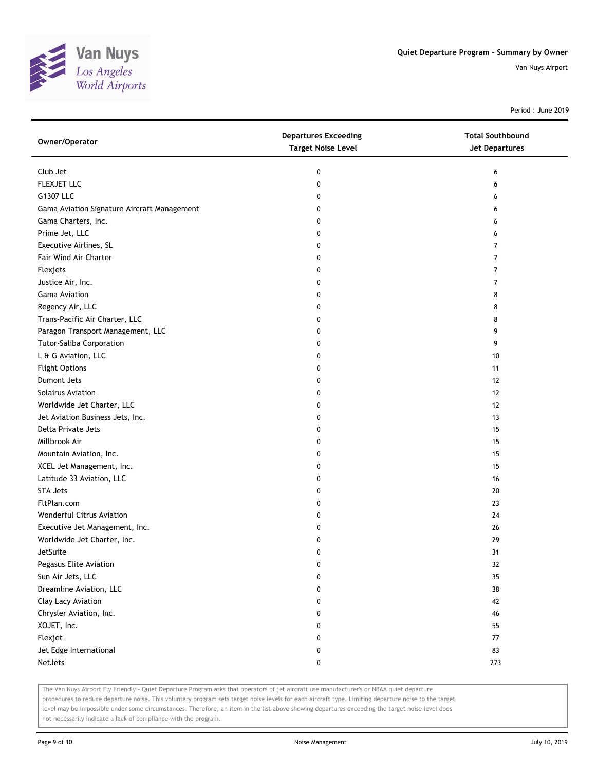

Period : June 2019

| Owner/Operator                              | <b>Departures Exceeding</b><br><b>Target Noise Level</b> | <b>Total Southbound</b><br>Jet Departures |
|---------------------------------------------|----------------------------------------------------------|-------------------------------------------|
| Club Jet                                    | 0                                                        | 6                                         |
| FLEXJET LLC                                 | 0                                                        | 6                                         |
| G1307 LLC                                   | 0                                                        | 6                                         |
| Gama Aviation Signature Aircraft Management | 0                                                        | 6                                         |
| Gama Charters, Inc.                         | 0                                                        | 6                                         |
| Prime Jet, LLC                              | 0                                                        | 6                                         |
| Executive Airlines, SL                      | 0                                                        | 7                                         |
| Fair Wind Air Charter                       | 0                                                        | 7                                         |
| Flexjets                                    | 0                                                        | 7                                         |
| Justice Air, Inc.                           | 0                                                        | 7                                         |
| <b>Gama Aviation</b>                        | 0                                                        | 8                                         |
| Regency Air, LLC                            | 0                                                        | 8                                         |
| Trans-Pacific Air Charter, LLC              | 0                                                        | 8                                         |
| Paragon Transport Management, LLC           | 0                                                        | 9                                         |
| Tutor-Saliba Corporation                    | 0                                                        | 9                                         |
| L & G Aviation, LLC                         | 0                                                        | 10                                        |
| <b>Flight Options</b>                       | 0                                                        | 11                                        |
| Dumont Jets                                 | 0                                                        | 12                                        |
| <b>Solairus Aviation</b>                    | 0                                                        | 12                                        |
| Worldwide Jet Charter, LLC                  | 0                                                        | 12                                        |
| Jet Aviation Business Jets, Inc.            | 0                                                        | 13                                        |
| Delta Private Jets                          | 0                                                        | 15                                        |
| Millbrook Air                               | 0                                                        | 15                                        |
| Mountain Aviation, Inc.                     | 0                                                        | 15                                        |
| XCEL Jet Management, Inc.                   | 0                                                        | 15                                        |
| Latitude 33 Aviation, LLC                   | 0                                                        | 16                                        |
| <b>STA Jets</b>                             | 0                                                        | 20                                        |
| FltPlan.com                                 | 0                                                        | 23                                        |
| Wonderful Citrus Aviation                   | 0                                                        | 24                                        |
| Executive Jet Management, Inc.              | 0                                                        | 26                                        |
| Worldwide Jet Charter, Inc.                 | 0                                                        | 29                                        |
| <b>JetSuite</b>                             | 0                                                        | 31                                        |
| Pegasus Elite Aviation                      | 0                                                        | 32                                        |
| Sun Air Jets, LLC                           | 0                                                        | 35                                        |
| Dreamline Aviation, LLC                     | 0                                                        | 38                                        |
| Clay Lacy Aviation                          | 0                                                        | 42                                        |
| Chrysler Aviation, Inc.                     | 0                                                        | 46                                        |
| XOJET, Inc.                                 | 0                                                        | 55                                        |
| Flexjet                                     | 0                                                        | 77                                        |
| Jet Edge International                      | 0                                                        | 83                                        |
| NetJets                                     | 0                                                        | 273                                       |

The Van Nuys Airport Fly Friendly - Quiet Departure Program asks that operators of jet aircraft use manufacturer's or NBAA quiet departure